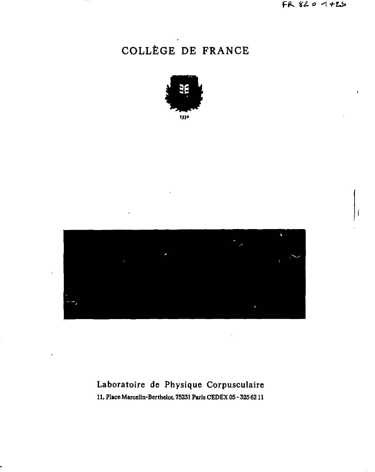# COLLÈGE DE FRANCE





## Laboratoire de Physique Corpusculaire 11, Place Marcelin-Berthelot, 75231 Paris CEDEX 05 - 325 62 11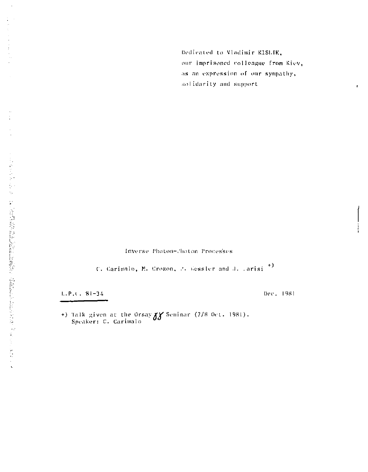Dedicated to Vladimir KISLIK, our imprisoned colleague from Kiev, as an expression of our sympathy, solidarity and support

٠

Inverse Photon-Choton Processes

C. Carimalo, M. Crozon, P. Kessler and J. Larisi<sup>+)</sup>

 $L.P.$ . 81-34

Dec. 1981

+) Talk given at the Orsay 88 Seminar (7/8 Oct. 1981).<br>Speaker: C. Carimalo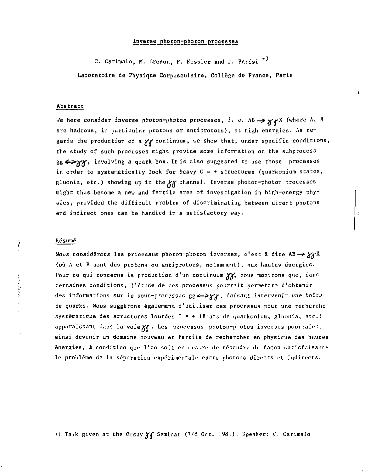## Inverse photon-photon processes

C. Carimalo, M. Crozon, P. Kessler and J. Parisi<sup>+)</sup> Laboratoire de Physique Corpusculaire, Collège de France, Paris

#### Abstract

We here consider inverse photon-photon processes, i. e. AB -> xxX (where A, B are hadrons, in particular protons or antiprotons), at high energies. As regards the production of a XX continuum, we show that, under specific conditions, the study of such processes might provide some information on the subprocess SE <>>>>>>>>, involving a quark box. It is also suggested to use those processes in order to systematically look for heavy  $C = +$  structures (quarkonium states, gluonia, etc.) showing up in the XX channel. Inverse photon-photon processes might thus become a new and fertile area of investigation in high-energy physics, provided the difficult problem of discriminating between direct photons and indirect ones can be handled in a satisfactory way.

### Resumé

Ï

医无线电器 医生物学

Nous considérons les processus photon-photon inverses, c'est à dire AB -> XXX (où A et B sont des protons ou antiprotons, notamment), aux hautes énergies. Pour ce qui concerne la production d'un continuum XX, nous montrons que, dans certaines conditions, l'étude de ces processus pourrait permettre d'obtenir des informations sur le sous-processus gg <- > yy, faisant intervenir une boîte de quarks. Nous suggérons également d'utiliser ces processus pour une recherche systématique des structures lourdes C = + (états de quarkonium, gluonia, etc.) apparaissant dans la voie XX . Les processus photon-photon inverses pourraient ainsi devenir un domaine nouveau et fertile de recherches en physique des hautes énergies, à condition que l'on soit en mesure de résoudre de façon satisfaisante le problème de la séparation expérimentale entre photons directs et indirects.

+) Talk given at the Orsay XX Seminar (7/8 Oct. 1981). Speaker: C. Carimalo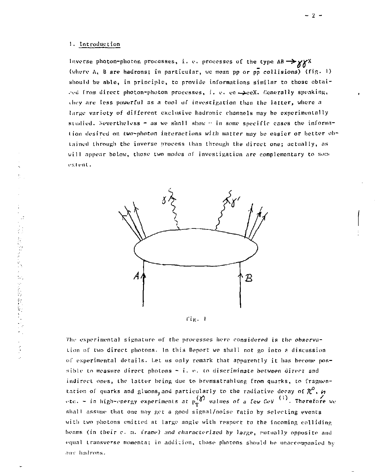アイトン おりゅうかんい かいとおり 食い出した アイナ

Inverse photon-photon processes, i. e. processes of the type  $AB \rightarrow \gamma\gamma$ (where A, B are hadrons; in particular, we mean pp or pp collisions) (fig. ') should be able, in principle, to provide informations similar to those obtained Trom direct photon-photon processes, i. *v,* ee —>ceX. fienurally speaking, they are less powerful as a tool of investigation than the latter, where a large variety of different exclusive hadronic channels may be experimentally studied. Nevertheless - as we shall show  $\cdots$  in some specific cases the information desired on two-photon interactions with matter may be easier or better obtained through the inverse process than through the direct one; actually, as will appear helow, those two modes of investigation are complementary to some extent.



rig. I

The experimental signature of the processes here considered is the observation of two direct photons. In this Report wc shall not go into a discussion of experimental details. Let us only remark that apparently it has become possible to measure direct photons  $\sim$  i. e. to discriminate between direct and indirect ones, the latter being due to bremsstrahlung from quarks, to fragmentation of quarks and gluons,and particularly to the radiative decay of  $\mathcal{X}$  . *h*<br>·tc. - in hich-energy experiments at p<sup>(</sup>*d*) values of a few GeV <sup>(1)</sup>. Therefore shall assume that one may get a good signal/noise ratio by selecting events with two photons emitted at large angle with respect to the incoming colliding beams (in their c. s. frame) and characterized by large, putually opposite and equal transverse momenta; in addition, those photons should be unaccompanied by any hadrons.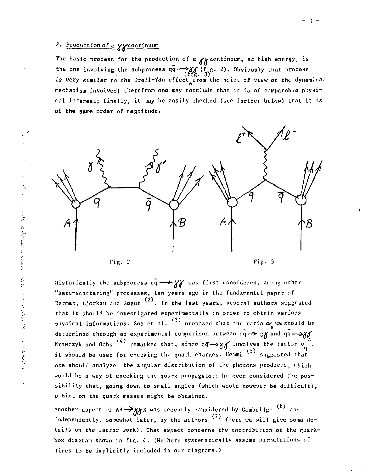## *2.* Production of a yycontinuum

The basic process for the production of a  $\chi$  continuum, at high energy, is the one involving the subprocess qq --> XX (fig. 2). Obviously that process<br>is very similar to the Drell-Yan effect from the point of view of the dynamical mechanism involved; therefrom one may conclude that it is of comparable physical interest; finally, it may be easily checked (see farther below) that it is of **th« same** order of magnitude.



fig-

Fig. 3

Historically the subprocess qq  $\rightarrow$  Y' was first considered, among other "hard-scattering" processes, ten years ago in the fundamental paper of Berman, Bjorkeu and Kogut  $\sp(2)$ . In the last years, several authors suggested that it should be investigated experimentally in order to obtain various physical informations. Soh et al.  $(3)$  proposed that the ratio  $\alpha_{\rm g}/\alpha$  should be determined through an experimental comparison between qq— > gY and qq—*^Xtf-*Krawczyk and Ochs `'' remarked that, since  $\mathfrak{q}\overline{\mathfrak{q}}\rightarrow$ X $\gamma$  involves the factor  $\mathfrak{e}_a$  , (2) succested that one should analyze the angular distribution of the photons produced, which would be a way of checking the quark propagator; he even considered the possibility that, going down to small angles (which would however be difficult), a hint on the quark masses might be obtained.

a hint on the quark niasses might be obtained. Another aspect of  $\sim$   $\frac{1}{20}$  was recently considered by considering and  $\frac{1}{20}$ independently, soinewhat later, by the authors (here we will give some details on the latter work). That aspect concerns the contribution of the quarkbox diagram shown in fig- 4. (Ue here systematically assume permutations of lines to be implicitly included in our diagrams.)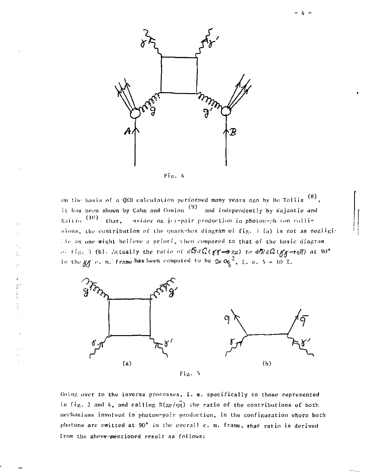



 $\frac{1}{2}$ ý È,  $\mathcal{G}$  On the basis of a QED calculation performed many years ago by De Tollis  $(8)$ , it has been shown by Cahn and Gunion  $(9)$  and independently by Kajantie and Raitio (10) that, asider mg jet-pair production in photon-ph (on collisions, the contribution of the quark-box diagram of fig. 5 (a) is not as negligi-The as one might believe a priori, then compared to that of the basic diagram of  $f(x, 5, 6)$ . Actually the ratio of  $d\vec{N}d\Omega(f/\sqrt{3}e)$  to  $d\vec{N}d\Omega(f/\sqrt{3}e)$  at 90° in the  $gf$  c. m. frame has been computed to be  $\infty \alpha_5^2$ , i. e. 5 - 10 %.



Going over to the inverse processes, i. e. specifically to those represented in fig. 2 and 4, and calling  $R(g_F/q\bar{q})$  the ratio of the contributions of both mechanisms involved in photon-pair production, in the configuration where both photons are emitted at 90° in the overall c. m. frame, that ratio is derived from the above-mentioned result as follows: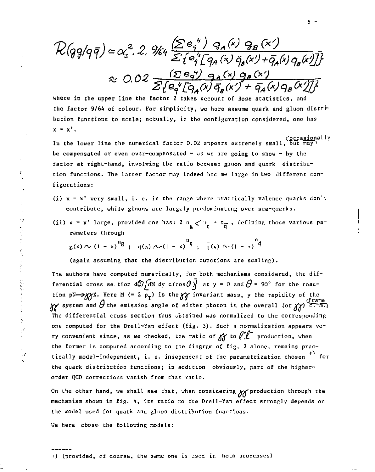$\mathcal{R}(q\overline{q}/q\overline{q}) \simeq \alpha_s^2$ . 2.  $\mathcal{H}_4 \overline{\leq} \overline{\{e_q^4\}} \overline{\{q_A(x) \overline{q}_B(x') + \overline{q}_A(x) q_B(x')\}}$ <br> $\approx 0.02 \overline{\leq} \overline{\{e_q^4\}} \overline{\{q_A(x) \overline{q}_B(x') + \overline{q}_A(x) q_B(x')\}}$ <br>where in the upper line the factor 2 takes account of Bose st

the factor 9/64 of colour. For simplicity, wc here assume quark and gluon distribution functions to scale; actually, in the configuration considered, one lias  $x = x'$ .

c<u>ccasio</u>nally)<br>In the lower line the numerical factor 0.02 appears extremely small, but may *\* be compensated or even over-compensated - as we are going to show - by the factor at right-hand, involving the ratio between gluon and quark distribution functions. The latter factor may indeed became large in two different configurations:

- (i)  $x = x'$  very small, i. e. in the range where practically valence quarks don't contribute, while gInuns are largely predominating over sea-quarks.
- (ii)  $x = x'$  large, provided one has:  $2 \frac{n}{g} \lt n \frac{n}{g} + \frac{n}{g}$ , defining those various parameters through

$$
g(x) \sim (1-x)^{n}g \, ; \, q(x) \sim (1-x)^{n}q \, ; \, \bar{q}(x) \sim (1-x)^{n}\bar{q}
$$

(again assuming that the distribution functions are scaling).

The authors have computed numerically, for both mechanisms considered, the differential cross se.tion  $d\tilde{\sigma}/\tilde{d}$ M dy d(cos $\theta$ ) $\tilde{f}$  at y = 0 and  $\theta$  = 90° for the reaction  $pN \to YY$ . Here M (= 2 p ) is the  $YY$  invariant mass, y the rapidity of the *^ /\* «frame *%V* system and (7 the emission angle of either photon in the overall (or yv) c. mTl The differential cross section thus obtained was normalized to the corresponding<br>one computed for the Drell-Yan effect (fig. 3). Such a normalization appears very convenient since, as we checked, the ratio of  $\gamma\gamma$  to  $\ell^+\ell^-$  production, when the former is computed according to the diagram of fig. 2 alone, remains practhe former is computed according to the diagram of fig, *2* alone, remains practically model-independent, i. e. independent of the pararoetrization chosen for the quark distribution functions; in addition, obviously, part of the higherorder QCD corrections vanish from that ratio.

On the other hand, we shall see that, when considering  $\gamma$  production through the mechanism shown in fig. 4, its ratio to the Drell-Yan effect strongly depends on the model used for quark and gluon distribution functions.

We here chose the following models:

+) (provided, of course, the same one is used in both processes)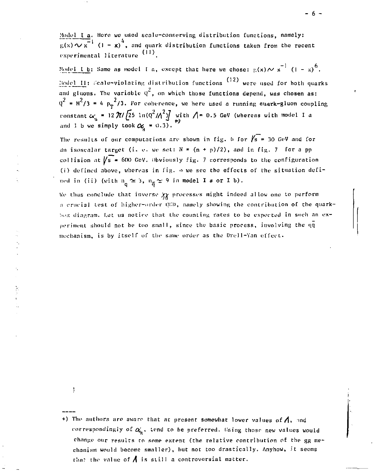Model I a. Here we used scale-conserving distribution functions, namely:  $\overline{f(x)} \sim x^{-1}$  (1 - x)<sup>4</sup>, and quark distribution functions taken from the recent experimental literature (11).

Model I b: Same as model I a, except that here we chose:  $g(x) \sim x^{-1} (1 - x)^6$ .  $\frac{1}{2}$  ;  $\frac{1}{2}$  ;  $\frac{1}{2}$  ;  $\frac{1}{2}$  ;  $\frac{1}{2}$  ;  $\frac{1}{2}$   $\frac{1}{2}$   $\frac{1}{2}$   $\frac{1}{2}$   $\frac{1}{2}$   $\frac{1}{2}$   $\frac{1}{2}$   $\frac{1}{2}$   $\frac{1}{2}$   $\frac{1}{2}$   $\frac{1}{2}$   $\frac{1}{2}$   $\frac{1}{2}$   $\frac{1}{2}$   $\frac{1}{2}$   $\frac{1}{2}$   $\frac{1}{100}$  and gluons. The variable  $q^2$ , on which those functions depend, was chosen as:  $y^2 = M^2/3 = 4 p_r^2/3$ . For coherence, we here used a running quark-gluon coupling constant  $\alpha'_c$  = 12  $\pi$ //25 ln(Q\*//\\*)/ with /|= 0.5 GeV (wherens with model 1 a and I b we **simply took**  $\alpha_{\zeta}$  **=** 0.3).

The results of our computations are shown in fig. 6 for  $\sqrt{s}$  = 30 GeV and for an isoscalar target (i. e. we set:  $N = (n + p)/2$ ), and in fig. 7 for a pp collision at  $\sqrt{s}$  = 600 GeV. Obviously fig. 7 corresponds to the configuration (i) defined above, whereas in fig. o we sec the effects of the situation defined in (ii) (with  $n_q \approx 3$ ,  $n_{\overline{q}} \approx 9$  in model I a or I b).

We thus conclude that inverse  $\chi\chi$  processes might indeed allow one to perform a crucial test of higher-order QCD, namely showing the contribution of the quarkbox diagram. Let us notice that the counting rates to be expected in such an experiment should not be too small, since the basic process, involving the  $q\bar{q}$ mechanism, is by itself of the same order as the Drell-Yan effect. mechanism, is by itself of the saine order as the Drell-Yan effect-

ţ

<sup>+)</sup> The authors are aware that at present somewhat lower values of  $\Lambda$ , and correspondingly of  $\alpha'$ , tend to be preferred. Using those new values would change our results to some extent (the relative contribution of the gg mechanism would become smaller), but not too drastically. Anyhow, it seems that the value of  $\Lambda$  is still a controversial matter.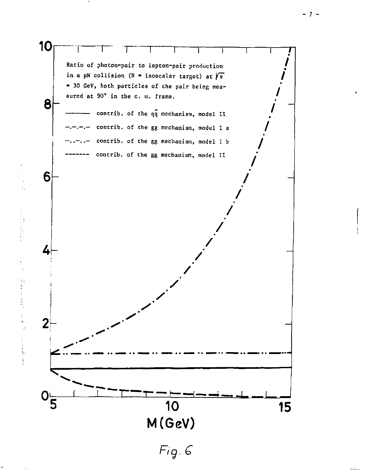

2. 计信号

おんちょう かんち

 $\frac{1}{2}$ 

 $\frac{1}{2}$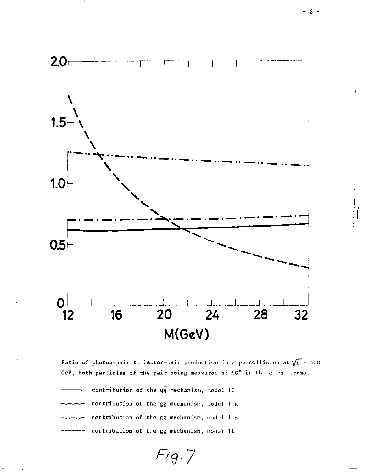

Ratio of photon-pair to lepton-pair production in a pp collision at  $\sqrt{s}$  = 600 GeV, both particles of the pair being measured at 90° in the c. m. frame.

 $Fig. 7$ 

contribution of the qq mechanism, model II contribution of the gg mechanism, model I a  $\cdot$   $$ contribution of the gg mechanism, model I b contribution of the gg mechanism, model II

- 8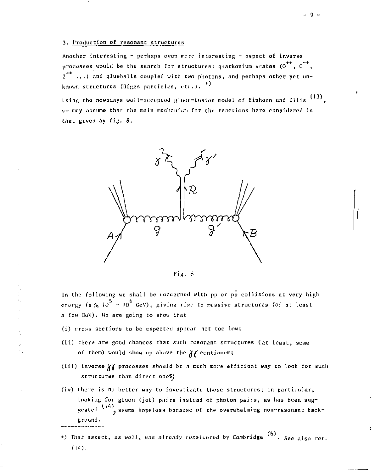## 3. Production of resonanc structures

Another interesting - perhaps even more interesting - aspect of inverse processes would be the senrch for structures: quarkonium biates  $(0^{++}, 0^{-+})$  $2^{++}$  ...) and glueballs coupled with two photons, and perhaps other yet unknown structures (Higgs particles, etc.).  $^{(*)}$ 

ising the nowadays well-accepted gluon-fusion model of Einhorn and Ellis <sup>(13)</sup> we may assume that the main mechanism for the reactions here considered is that given by fig. 8.



Fiji . 8

In the following we shall be concerned with pp or  $p\bar{p}$  collisions at very high energy (s  $\overline{x}$  10<sup>5</sup> - 10<sup>6</sup> GeV), giving rise to massive structures (of at least a few GeV). We are going to show that

- (i) cross sections to be expected appear not too low:
- (ii) there are good chances that such resonant structures (at least, some of them) would show up above the *XY* continuum;
- (iii) inverse V/ processes should be *a* much more efficient way to look for such structures than direct oneS;
- (iv) Lhere is no better way to investigate those structures; in particular, looking for gluon (jet) pairs instead of photon pairs, as has been sug-(141 jested «seems hopeless because of the overwhelming non-resonant background.
- +) That aspect, as well, was already considered by Combridge <sup>(6)</sup>. See also ret. (14).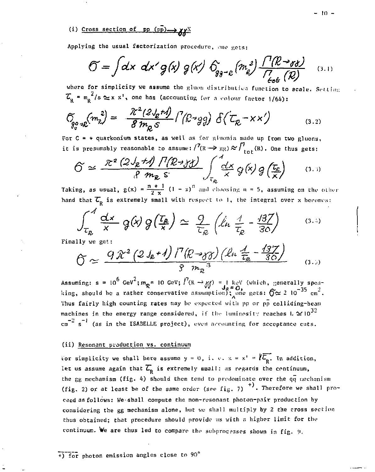(i) Cross section of pp  $(p\bar{p}) \rightarrow \gamma \gamma X$ 

Applying the usual factorization procedure, one gets:

$$
\widetilde{O} = \int dx \ dx' g(x) g(x') \ \hat{O}_{g_{\widetilde{\theta}} - \epsilon} \left( m_e^2 \right) \frac{\Gamma(R - \sigma)}{\Gamma_{\epsilon e \epsilon} (R)} \quad (3.1)
$$

where for simplicity we assume the gluon distribution function to scale. Setting  $\mathcal{I}_n = m_n^2/s \simeq x x^1$ , one has (accounting for a colour factor  $1/64$ ):

$$
\widetilde{C}_{g_{\varphi}^{\circ}\circ\mathcal{R}}(m_{\kappa}^{2}) = \frac{\widetilde{\mathcal{X}}^{2}(2J_{\mathcal{E}}r)}{\mathcal{B}m_{\mathcal{R}}S} \int^{7} (\mathcal{R}^{2}sg) \; \delta(\mathcal{L}_{\mathcal{R}} - \mathbf{x}\,\mathbf{x}') \qquad (3.2)
$$

For  $C = +$  quarkonium states, as well as for giunnia made up from two gluons, it is presumably reasonable to assume:  $\ell^7(\mathbb{R} \to \mathbb{R}\mathbb{R}) \approx \frac{1}{\ell} \int_{\text{tot}}^1(\mathbb{R})$ . One thus gets:

$$
\widehat{C} \simeq \frac{\mathcal{R}^2 (2 J_g + A) \prod (R \rightarrow y)}{\mathcal{R} m_g \mathcal{S}} \int_{\tau_g} \frac{d \mathcal{X}}{\mathcal{X}} g(\mathbf{x}) g\left(\frac{\tau_g}{\mathbf{x}}\right) \qquad (3.3)
$$

Taking, as usual,  $g(x) = \frac{n+1}{2x} (1-x)^n$  and choosing  $n = 5$ , assuming on the other hand that  $\overline{\mathcal{L}}_p$  is extremely small with respect to 1, the integral over x becomes:

$$
\int_{\tau_{\mathcal{R}}}^{\mathcal{A}} \frac{dx}{x} \, \mathcal{G}(\lambda) \, \mathcal{G}\left(\frac{\tau_{\mathcal{R}}}{x}\right) \simeq \; \frac{\mathcal{Q}}{\tau_{\mathcal{R}}} \left(\hat{\mathcal{L}}_{\mathcal{R}} \, \frac{\mathcal{A}}{\tau_{\mathcal{R}}} - \frac{\mathcal{A}37}{30}\right) \tag{3.4}
$$

Finally we get:

$$
\widetilde{O} \simeq \frac{9\mathcal{\tilde{X}}^2\left(2J_e+1\right)/^7\left(\mathcal{R}\rightarrow_{\mathcal{J}\mathcal{J}}\right)\left(\mathcal{L}\mu\frac{J}{\tau_e}-\frac{137}{36}\right)}{8\ m_{\mathcal{R}}^3} \tag{3.3}
$$

Assuming:  $s = 10^6 \text{ GeV}^2$ ;  $m_R = 10 \text{ GeV}$ ;  $l^7(R \rightarrow \gamma f) = 1 \text{ keV}$  (which, generally spearing, should be a rather conservative assumption); one gets:  $\hat{O} \approx 2 \text{ 10}^{-35} \text{ cm}^2$ . Thus fairly high counting rates may be expected with pp or pp colliding-beam machines in the energy range considered, if the luminosity reaches  $L \approx 10^{32}$  $\text{cm}^{-2}$  s<sup>-1</sup> (as in the ISABELLE project), even accounting for acceptance cuts.

## (ii) Resonant production vs. continuum

For simplicity we shall here assume  $y = 0$ , i. e.  $x = x' = \ell \overline{\ell_{n}}$ . In addition, let us assume again that  $\overline{\mathcal{L}}_p$  is extremely awall: as regards the continuum, the gg mechanism (fig. 4) should then tend to predominate over the  $q\bar{q}$  mechanism (fig. 2) or at least be of the same order (see fig. 7)  $^{+}$ . Therefore we shall proceed as follows: We shall compute the non-resonant photon-pair production by considering the gg mechanism alone, but we shall multiply by 2 the cross section thus obtained; that procedure should provide us with a higher limit for the continuum. We are thus led to compare the subprocesses shown in fig. 9.

+) for photon emission angles close to 90°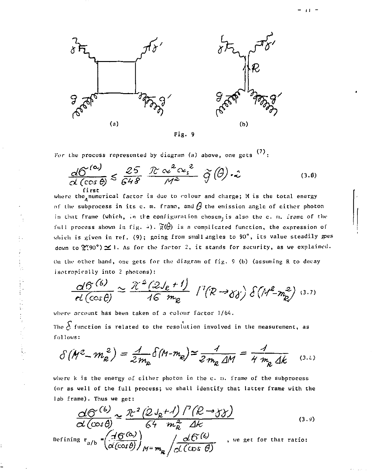

Fig. 9

For the process represented by diagram (a) above, one gets  $\langle \cdot \rangle$ :

$$
\frac{dC^{(\alpha)}}{d(\cos\theta)} \leq \frac{25}{648} \frac{\mathcal{R} \propto^{2} c_{\star}^{2}}{\mathcal{M}^{2}} \widetilde{g}(\theta) \cdot \mathcal{L}
$$
\n(3.6)

first<br>where the numerical factor is due to colour and charge; M is the total energy *of* the subprocess in its c. m. frame, and *Q* the emission angle of either photon in that frame (which, in the configuration chosen, is also the c. m. frame of the full process shown in fig.  $\div$ ).  $\mathfrak{F}(\theta)$  is a complicated function, the expression of which is given in ref. (9); going from small angles to 90 $^{\circ}$ , its value steadily gpes down to  $\mathfrak{X}(90^{\circ}) \simeq 1$ . As for the factor 2, it stands for security, as we explained. On the other hand, one gets for the diagram of fig. 9 (b) (assuming R to decay isotrapically into *2* photons):

$$
\frac{d\Theta^{(6)}}{el(\cos\theta)}\simeq\frac{\mathcal{R}^{2}(2J_{\ell}+I)}{46\ m_{\ell}}\int\left(\mathcal{R}\rightarrow\mathcal{G}\right)\delta\left(M^{2}-m_{\ell}^{2}\right)\,\mathrm{d}\cdot\mathcal{D}
$$

where account has been taken of a colour factor 1/64.

The  $\delta$  function is related to the resolution involved in the measurement, as fol lows:

$$
\delta(M^2 - m_g^2) = \frac{A}{2m_g} \delta(M - m_g) \approx \frac{A}{2m_g \Delta M} = \frac{A}{4 m_g \Delta k} \quad (3.1)
$$

where k is the energy of either photon in the  $c$ .  $n$ . frame of the subprocess (or as well of the full process; wo shall identify that latter frame with the lab frame). Thus we get:

$$
\frac{\Delta\Theta^{(6)}}{\alpha(\cos\theta)} \approx \frac{\pi^2 (2 J_z + 1)}{64 m_z^2} \frac{I^2 (R \rightarrow y)}{\Delta k}
$$
\n
$$
\text{Defining } r_{a/b} = \left(\frac{A \Theta^{(6)}}{\alpha(\cos\theta)}\right)_{M = m_{\mathcal{R}}}/\frac{\Delta\Theta^{(6)}}{\alpha(\cos\theta)} \text{ , we get for that ratio:}
$$
\n
$$
\text{Defining } r_{a/b} = \left(\frac{A \Theta^{(6)}}{\alpha(\cos\theta)}\right)_{M = m_{\mathcal{R}}}/\frac{\Delta\Theta^{(6)}}{\alpha(\cos\theta)} \text{ .}
$$
\n
$$
\text{Defining } r_{a/b} = \left(\frac{A \Theta^{(6)}}{\alpha(\cos\theta)}\right)_{M = m_{\mathcal{R}}}/\frac{\Delta\Theta^{(6)}}{\alpha(\cos\theta)} \text{ .}
$$
\n
$$
\text{Defining } r_{a/b} = \left(\frac{A \Theta^{(6)}}{\alpha(\cos\theta)}\right)_{M = m_{\mathcal{R}}}/\frac{\Delta\Theta^{(6)}}{\alpha(\cos\theta)} \text{ .}
$$
\n
$$
\text{Defining } r_{a/b} = \left(\frac{A \Theta^{(6)}}{\alpha(\cos\theta)}\right)_{M = m_{\mathcal{R}}}/\frac{\Delta\Theta^{(6)}}{\alpha(\cos\theta)} \text{ .}
$$
\n
$$
\text{Defining } r_{a/b} = \left(\frac{A \Theta^{(6)}}{\alpha(\cos\theta)}\right)_{M = m_{\mathcal{R}}}/\frac{\Delta\Theta^{(6)}}{\alpha(\cos\theta)} \text{ .}
$$
\n
$$
\text{Defining } r_{a/b} = \left(\frac{A \Theta^{(6)}}{\alpha(\cos\theta)}\right)_{M = m_{\mathcal{R}}}/\frac{\Delta\Theta^{(6)}}{\alpha(\cos\theta)} \text{ .}
$$
\n
$$
\text{Defining } r_{a/b} = \left(\frac{A \Theta^{(6)}}{\alpha(\cos\theta)}\right)_{M = m_{\mathcal{R}}}/\frac{\Delta\Theta^{(6)}}{\alpha(\cos\theta)} \text{ .}
$$
\n
$$
\text{Defining } r_{a/b} = \left(\frac{A \Theta^{(6)}}{\alpha(\cos\theta)}\right)_{M = m_{\mathcal{R}}}/\frac{\Delta\Theta^{(6)}}{\alpha(\cos\theta)} \text{ .}
$$
\n
$$
\text{Defining
$$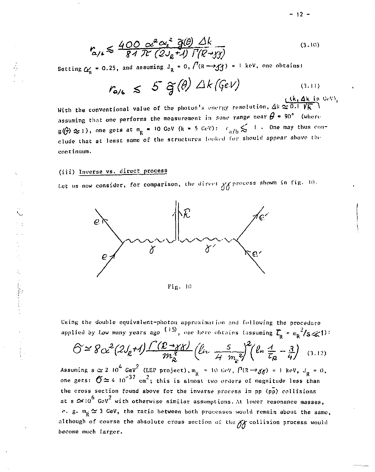$$
r_{\alpha/\mu} \leq \frac{400 \alpha^2 \alpha^2}{84 \pi} \frac{\tilde{g}(\theta)}{\tilde{h}^2} \frac{\Delta k}{\Gamma(R - 33)} \tag{3.10}
$$

Setting  $C'_8$  = 0.25, and assuming  $J_g = 0$ ,  $/(R \rightarrow f)'$  = 1 keV, one obtains:

$$
r_{a/b} \leqslant 5 \widetilde{g}(\theta) \triangle k (\zeta eV) \tag{3.11}
$$

With the conventional value of the photon's energy resolution,  $\Delta k \simeq 0.1$   $\sqrt{k}$ ) assuming that one performs the measurement in some range near  $\theta$  = 90° (where  $g(\hat{\theta}) \approx 1$ ), one gets at  $m_g = 10$  GeV (k = 5 GeV):  $r_{a/b} \leq 1$ . One may thus conclude that at least some of the structures looked for should appear above the continuum.

## (iii) Inverse vs. direct process

Let us now consider, for comparison, the direct  $\chi_{\textrm{A}}$  process shown in fig. 10.



 $Fig.10$ 

Using the double equivalent-photon approximation and following the procedure applied by Low many years ago  $(15)$ , one here obtains (assuming  $\overline{L}_{\rm o} = m_{\rm B}^{-2}/s \ll 1$ ):

$$
\widehat{C} \simeq 8c^2(2J_{\ell}t) \frac{\Gamma(\mathcal{L} \rightarrow \gamma \gamma)}{m_{\mathcal{L}}^3} (\ell_{i} \frac{5}{4m_{\mathcal{L}}^2})^2 (\ell_{n} \frac{4}{\tilde{t}_{\mathcal{R}}} - \frac{3}{4})
$$
 (3.12)

Assuming  $s \approx 2 \cdot 10^4$  GeV<sup>2</sup> (I.EP project),  $m_R = 10$  GeV,  $P(R \rightarrow \gamma \gamma) = 1$  keV,  $J_R = 0$ ,<br>one gets:  $\sigma \approx 4 \cdot 10^{-37}$  cm<sup>2</sup>; this is almost two orders of magnitude less than the cross section found above for the inverse process in pp (pp) collisions at  $s \simeq 10^6$  GeV<sup>2</sup> with otherwise similar assumptions. At lower resonance masses,  $\sim$  g.  $m_p \simeq 3$  GeV, the ratio between both processes would remain about the same, although of course the absolute cross section of the XX collision process would become much larger.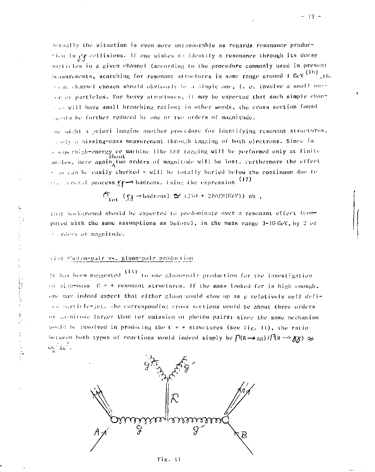Actually the situation is even more unfavourable as regards resonance production in yy collisions. If one wishes to identify a resonance through its decay particles in a given channel (according to the procedure commonly used in present scasurements, scarching for resonant structures in some range around 1 GeV (16) the seas channel chosen should obviously be a simple one, i. e. involve a small poror of particles. For heavy structures, it may be expected that such simple chanand will have small branching ratios; in other words, the cross section found sould be further reduced by one or two orders of magnitude.

me aight a priori imagine another procedure for identifying resonant structures, and variesing-mass measurement through tagging of both electrons. Since in a saperhigh-energy ee machine like LEP tagging will be performed only at finite angles, here again<sub>a</sub>two orders of magnitude will be lost. Turthermore the effect - is can be easily checked - will be totally buried below the continuum due to the general process XY-> hadrons. Ising the expression (17)

$$
\widehat{\mathbb{C}}_{\text{tot}}(\chi) \to \text{hadrons}(\Sigma(250 + 270/\text{M(GeV)}) \text{ nb.})
$$

that hackground should be expected to predominate over a resonant effect (computed with the same assumptions as before), in the mass range 3-10 GeV, by 2 or Corders of magnitude.

## (iv) Photon-pair vs. gluon-pair production

It has been suggested (14) to use gluon-pair production for the investigation of nigh-mass  $C = +$  resonant structures. If the mass looked for is high enough. one may indeed expect that either gluon would show up as a relatively well defiaca particle-jet, the corresponding cross sections would be about three orders or menitude larger than for emission of photon pairs; since the same mechanism sould be involved in producing the  $0 \neq \pm$  structures (see fig. 11), the ratio hetween hoth types of reactions would indeed simply be  $\Gamma$ (R  $\rightarrow$  gg)  $\pi$ (R  $\rightarrow$   $\gamma$ )  $\approx$  $\omega_{\rm c}/\omega^2$  .



Fig. 11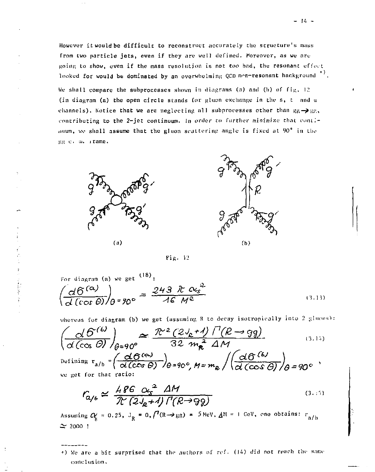However it would be difficult to reconstruct accurately the structure's mass from two particle jets, even if they are well defined. Moreover, as we are going to show, even if the mass resolution is not too bad, the resonant effect looked for would be dominated by an overwhelming QCD non-resonant background  $^{\ast}$ ).

We shall compare the subprocesses shown in diagrams (a) and (b) of fig. 12 (in diagram (a) the open circle stands Cor gluon exchange in the s, t and u channels). Notice that we are neglecting all subprocesses other than  $gg \rightarrow gg$ , contributing to the 2-jet continuum. In order to further minimize that continuum, we shall assume that the gluon scattering angle is fixed at 90° in the gg c. a. irame.





Fig. 12

For diagram (a) we get  $(18)$ :  $\frac{d6^{(a)}}{a}$  ) =  $\frac{243 \cancel{r} \cancel{r} \cancel{a}}{a}$  $(3.13)$ 

whereas for diagram (b) we get (assuming R to decay isotropically into 2 gluons):

$$
\left(\frac{\partial \mathcal{B}^{(6)}}{\partial (\cos \theta)}\right)_{\theta=90^\circ} \approx \frac{\mathcal{R}^2 (2J_e+1) \Gamma(R \to gq)}{32 m_e^2 \Delta M} \qquad (3.14)
$$
\n
$$
\text{Diffining } r_{a/b} = \left(\frac{\partial \mathcal{B}^{(6)}}{\partial (\cos \theta)}\right)_{\theta=90^\circ} \text{M} = m_e \left/ \left(\frac{\partial \mathcal{B}^{(6)}}{\partial (\cos \theta)}\right)_{\theta=90^\circ} \right.\qquad (3.15)
$$

get for that ratio:

$$
r_{\alpha/\epsilon} \simeq \frac{486}{\pi} \frac{\alpha_s^2}{(2J_g+4)} \frac{\Delta M}{\Gamma(R\rightarrow 99)}\tag{3.6}
$$

ssuming  $\alpha$  = 0.25, J<sub>p</sub> = 0,/'(R- $\rightarrow$ gg) = 5 NeV,  $\Delta$ M = I GeV, one obtains: r<sub>o/h</sub>  $\approx$  2000 !

\*) We are a bit surprised that the authors of ref. (14) did not reach the same eonelusion.

 $-14 -$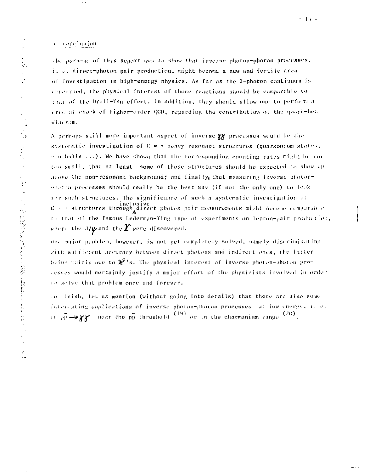c. conclusion

Ĵ

医皮质

Ŕ

「その後に、このことを見て、このために、大きなので、そのことを見えることを見ることを見ることをしている。

Í.

the purpose of this Report was to show that inverse photon-photon processes, i, e, direct-photon pair production, might become a new and fertile area of investigation in high-energy physics. As far as the 2-photon continuum is concerned, the physical interest of those reactions should be comparable to that of the Drell-Yan effect. In addition, they should allow one to perform a crucial check of higher-order OCD, regarding the contribution of the quark-bus diasram.

A perhaps still more important aspect of inverse  $XY$  processes would be the systematic investigation of  $C = +$  heavy resonant structures (quarkonium states, cludballs ...). We have shown that the corresponding counting rates might be not too small; that at least some of those structures should be expected to show up above the non-resonant background; and finally, that measuring inverse photonobston processes should really be the best way (if not the only one) to look for such structures. The significance of such a systematic investigation of  $C \rightarrow$  structures through  $A$  are<br>ct-photon pair seasurements might hecome comparable<br> $C \rightarrow$  structures through  $A$ to that of the famous Lederman-Ting type of experiments on lepton-pair production, where the  $\text{J}/\hat{\psi}$  and the  $\hat{\boldsymbol{\varUpsilon}}$  were discovered.

one major problem, however, is not yet completely solved, namely discriminating with sufficient accuracy between direct photons and indirect ones, the fatter being mainly one to  $\chi^0$ 's. The physical interest of inverse photon-photon processes would certainly justify a major effort of the physicists involved in order to solve that problem once and forever.

to rinish, let us mention (without going into details) that there are also some interesting applications of inverse photon-photon processes, at low energy, i. e. in  $\varphi_1 \rightarrow \chi \chi$  near the  $\varphi_1$  threshold  $(19)$  or in the charmonium range  $(20)$ .

 $\sim$  .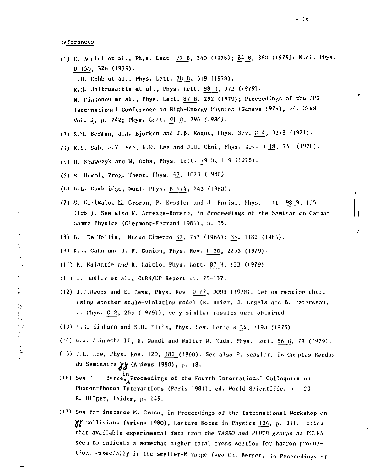References

 $\frac{1}{2} \sum_{i=1}^n \frac{1}{2} \sum_{j=1}^n \frac{1}{2} \sum_{j=1}^n \frac{1}{2} \sum_{j=1}^n \frac{1}{2} \sum_{j=1}^n \frac{1}{2} \sum_{j=1}^n \frac{1}{2} \sum_{j=1}^n \frac{1}{2} \sum_{j=1}^n \frac{1}{2} \sum_{j=1}^n \frac{1}{2} \sum_{j=1}^n \frac{1}{2} \sum_{j=1}^n \frac{1}{2} \sum_{j=1}^n \frac{1}{2} \sum_{j=1}^n \frac{1}{2} \sum_{j=$ 

 $\begin{array}{c} \Omega \\ \Omega \end{array}$ 

的复数人名英利亚

Ť

- (1) E. Amaldi et al., Phys. Lett, 77 B, 240 (1978); 84 B, 360 (1979); Nuel. Phys. B 150, 326 (1979). J.H. Cobb et al., Phys. Lett. 78 B, 519 (1978). R.M. Baltrusaitis et al., Phys. Lett. 88 B, 372 (1979). M. Diakonou et al., Phys. Lett. 87 B. 292 (1979); Proceedings of the EPS International Conference on High-Energy Physics (Geneva 1979), ed. CERN, Vol. 2, p. 742; Phys. Latt. 91 B, 296 (1980).
- (2) S.M. Berman, J.D. Bjorken and J.B. Kogut, Phys. Rev. D.4, 3378 (1971).
- (3) K.S. Soh, P.Y. Pac, h.W. Lee and J.B. Choi, Phys. Rev. b 18, 751 (1978).
- (4) M. Krawczyk and W. Ochs, Phys. Lett. 79 B, 119 (1978).
- (5) S. Hemmi, Prog. Theor. Phys. 63, 1073 (1980).
- (6) B.L. Combridge, Nucl. Phys. B 174, 243 (1980).
- (7) C. Carimalo, M. Crozon, P. Kessler and J. Parisi, Phys. Lett. 98 B, 105 (1981). See also N. Arteaga-Romero, in Proccedings of the Seminar on Gamma-Gamma Physics (Clermont-Ferrand 1981), p. 35.
- (8) B. De Tollis, Nuovo Cimento 32, 757 (1964); 35, 1182 (1965).
- (9) R.X. Cahn and J. F. Gunion, Phys. Rev. D 20, 2253 (1979).
- (10) K. Kajantie and R. Paitio, Phys. Lett. 87 B, 133 (1979).
- (11) J. Badier et al., CERN/EP Report nr. 79-137.
- (12) J.E.Owens and E. Reya, Phys. Rev. B 17, 3003 (1978). Let us mention that, using another scale-violating model (R. Baier, J. Engels and B. Petersson, 7. Phys. C 2, 265 (1979)), very similar results were obtained.
- (13) M.B. Einhorn and S.D. Ellis, Phys. Rev. Letters 34, 1190 (1975).
- (14) G.J. Addrecht II, S. Nandi and Walter W. Wada, Phys. Lett. 86 B, 79 (1979).
- (15) F.L. Low, Phys. Rev. 120, 582 (1960). See also P. Kessler, in Comptes Rendus du Séminaire XX (Amiens 1980), p. 18.
- (16) See D.L. Burke, Proceedings of the Fourth International Colloquium on Photon-Photon Interactions (Paris 1981), ed. World Scientific, p. 123. E. Hilger, ibidem, p. 149.
- (17) See for instance M. Greco, in Proceedings of the International Workshop on XX Collisions (Amiens 1980), Lecture Notes in Physics 134, p. 311. Notice that available experimental data from the TASSO and PLUTO groups at PETRA seem to indicate a somewhat higher total cross section for hadron production, especially in the smaller-M range (see Ch. Berger, in Proceedings of